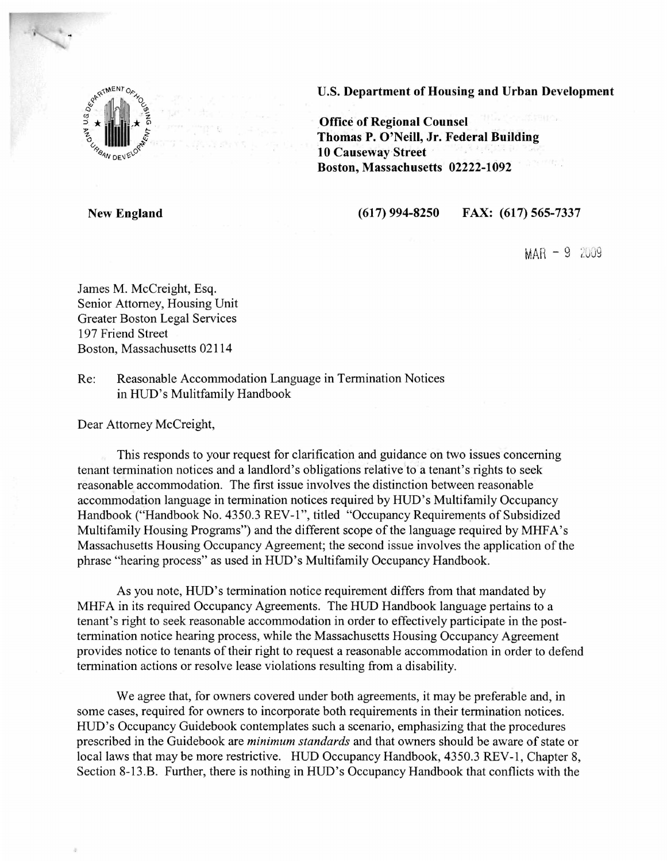

U.S. Department of Housing and Urban Development

Office of Regional Counsel Thomas P. O'Neill, Jr. Federal Building 10 Causeway Street . Boston, Massachusetts 02222-1092

New England

(617) 994-8250 FAX: (617) 565-7337

 $MAR - 9$  2009

James M. McCreight, Esq. Senior Attorney, Housing Unit Greater Boston Legal Services 197 Friend Street Boston, Massachusetts 02114

Re: Reasonable Accommodation Language in Termination Notices in HUD's Mulitfamily Handbook

Dear Attorney McCreight,

This responds to your request for clarification and guidance on two issues concerning tenant termination notices and a landlord's obligations relative to a tenant's rights to seek reasonable accommodation. The first issue involves the distinction between reasonable accommodation language in termination notices required by HUD's Multifamily Occupancy Handbook ("Handbook No. 4350.3 REV-1", titled "Occupancy Requirements of Subsidized Multifamily Housing Programs") and the different scope of the language required by MHFA's Massachusetts Housing Occupancy Agreement; the second issue involves the application of the phrase "hearing process" as used in HUD's Multifamily Occupancy Handbook.

As you note, HUD's termination notice requirement differs from that mandated by MHFA in its required Occupancy Agreements. The HUD Handbook language pertains to a tenant's right to seek reasonable accommodation in order to effectively participate in the posttermination notice hearing process, while the Massachusetts Housing Occupancy Agreement provides notice to tenants of their right to request a reasonable accommodation in order to defend termination actions or resolve lease violations resulting from a disability.

We agree that, for owners covered under both agreements, it may be preferable and, in some cases, required for owners to incorporate both requirements in their termination notices. HUD's Occupancy Guidebook contemplates such a scenario, emphasizing that the procedures prescribed in the Guidebook are *minimum standards* and that owners should be aware of state or local laws that may be more restrictive. HUD Occupancy Handbook, 4350.3 REV-1, Chapter 8, Section 8-13.B. Further, there is nothing in HUD's Occupancy Handbook that conflicts with the